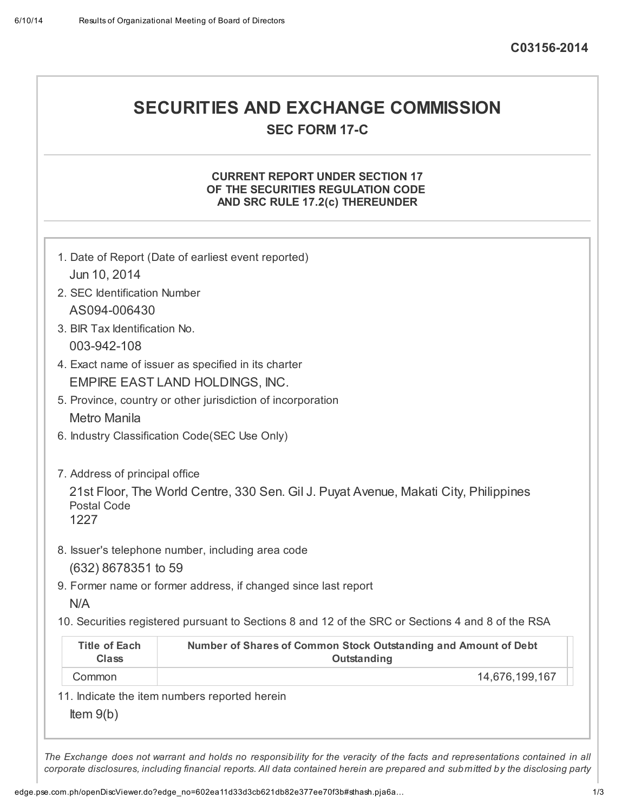# SECURITIES AND EXCHANGE COMMISSION SEC FORM 17-C

## CURRENT REPORT UNDER SECTION 17 OF THE SECURITIES REGULATION CODE AND SRC RULE 17.2(c) THEREUNDER

| Item $9(b)$                          | 11. Indicate the item numbers reported herein                                                     |
|--------------------------------------|---------------------------------------------------------------------------------------------------|
| Common                               | 14,676,199,167                                                                                    |
| <b>Title of Each</b><br><b>Class</b> | Number of Shares of Common Stock Outstanding and Amount of Debt<br>Outstanding                    |
|                                      | 10. Securities registered pursuant to Sections 8 and 12 of the SRC or Sections 4 and 8 of the RSA |
| N/A                                  |                                                                                                   |
|                                      | 9. Former name or former address, if changed since last report                                    |
| (632) 8678351 to 59                  |                                                                                                   |
| <b>Postal Code</b><br>1227           | 8. Issuer's telephone number, including area code                                                 |
|                                      | 21st Floor, The World Centre, 330 Sen. Gil J. Puyat Avenue, Makati City, Philippines              |
| 7. Address of principal office       |                                                                                                   |
|                                      |                                                                                                   |
|                                      | 6. Industry Classification Code(SEC Use Only)                                                     |
| <b>Metro Manila</b>                  | 5. Province, country or other jurisdiction of incorporation                                       |
|                                      | EMPIRE EAST LAND HOLDINGS, INC.                                                                   |
|                                      | 4. Exact name of issuer as specified in its charter                                               |
| 003-942-108                          |                                                                                                   |
| 3. BIR Tax Identification No.        |                                                                                                   |
| AS094-006430                         |                                                                                                   |
| 2. SEC Identification Number         |                                                                                                   |
| Jun 10, 2014                         |                                                                                                   |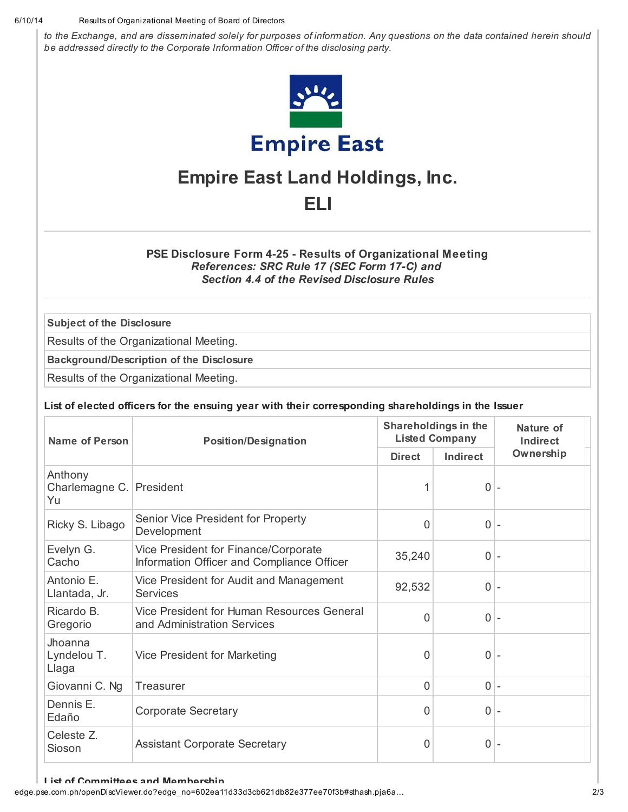#### 6/10/14 Resultsof Organizational Meeting of Board of Directors

to the Exchange, and are disseminated solely for purposes of information. Any questions on the data contained herein should be addressed directly to the Corporate Information Officer of the disclosing party.



## Empire East Land Holdings, Inc. ELI

## PSE Disclosure Form 4-25 - Results of Organizational Meeting References: SRC Rule 17 (SEC Form 17-C) and Section 4.4 of the Revised Disclosure Rules

Subject of the Disclosure

Results of the Organizational Meeting.

Background/Description of the Disclosure

Results of the Organizational Meeting.

## List of elected officers for the ensuing year with their corresponding shareholdings in the Issuer

| Name of Person                  | <b>Position/Designation</b>                                                        |                | Shareholdings in the<br><b>Listed Company</b> | Nature of<br>Indirect    |
|---------------------------------|------------------------------------------------------------------------------------|----------------|-----------------------------------------------|--------------------------|
|                                 |                                                                                    | <b>Direct</b>  | Indirect                                      | Ownership                |
| Anthony<br>Charlemagne C.<br>Yu | President                                                                          | 1              | $0$ -                                         |                          |
| Ricky S. Libago                 | Senior Vice President for Property<br>Development                                  | $\overline{0}$ | $0 -$                                         |                          |
| Evelyn G.<br>Cacho              | Vice President for Finance/Corporate<br>Information Officer and Compliance Officer | 35,240         | 0 <sup>1</sup>                                | ÷,                       |
| Antonio E.<br>Llantada, Jr.     | Vice President for Audit and Management<br><b>Services</b>                         | 92,532         | $\overline{0}$                                | $\overline{\phantom{a}}$ |
| Ricardo B.<br>Gregorio          | Vice President for Human Resources General<br>and Administration Services          | $\overline{0}$ | $0 -$                                         |                          |
| Jhoanna<br>Lyndelou T.<br>Llaga | Vice President for Marketing                                                       | $\mathbf 0$    | $\overline{0}$                                | $\overline{\phantom{a}}$ |
| Giovanni C. Ng                  | <b>Treasurer</b>                                                                   | $\overline{0}$ | $0 -$                                         |                          |
| Dennis E.<br>Edaño              | <b>Corporate Secretary</b>                                                         | $\mathbf 0$    | $\overline{0}$                                | ÷,                       |
| Celeste Z.<br>Sioson            | <b>Assistant Corporate Secretary</b>                                               | $\mathbf 0$    | 0 <sup>1</sup>                                |                          |

#### List of Committees and Membership

edge.pse.com.ph/openDiscViewer.do?edge\_no=602ea11d33d3cb621db82e377ee70f3b#sthash.pja6a… 2/3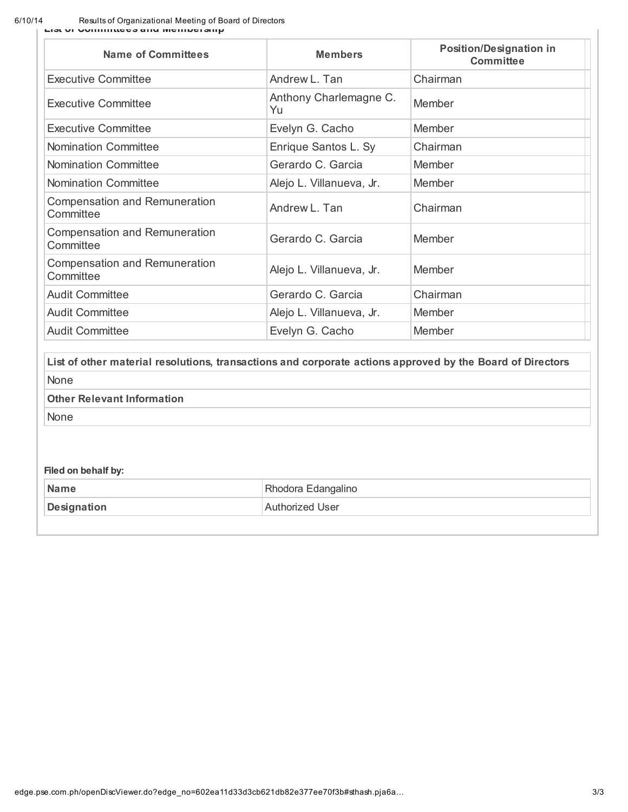6/10/14 Resultsof Organizational Meeting of Board of Directors List of Committees and Membership

| <b>Name of Committees</b>                         | <b>Members</b>               | <b>Position/Designation in</b><br><b>Committee</b> |
|---------------------------------------------------|------------------------------|----------------------------------------------------|
| <b>Executive Committee</b>                        | Andrew L. Tan                | Chairman                                           |
| Executive Committee                               | Anthony Charlemagne C.<br>Yu | Member                                             |
| <b>Executive Committee</b>                        | Evelyn G. Cacho              | Member                                             |
| <b>Nomination Committee</b>                       | Enrique Santos L. Sy         | Chairman                                           |
| <b>Nomination Committee</b>                       | Gerardo C. Garcia            | Member                                             |
| <b>Nomination Committee</b>                       | Alejo L. Villanueva, Jr.     | <b>Member</b>                                      |
| <b>Compensation and Remuneration</b><br>Committee | Andrew L. Tan                | Chairman                                           |
| <b>Compensation and Remuneration</b><br>Committee | Gerardo C. Garcia            | Member                                             |
| <b>Compensation and Remuneration</b><br>Committee | Alejo L. Villanueva, Jr.     | Member                                             |
| <b>Audit Committee</b>                            | Gerardo C. Garcia            | Chairman                                           |
| <b>Audit Committee</b>                            | Alejo L. Villanueva, Jr.     | Member                                             |
| <b>Audit Committee</b>                            | Evelyn G. Cacho              | <b>Member</b>                                      |

List of other material resolutions, transactions and corporate actions approved by the Board of Directors None

Other Relevant Information

None

## Filed on behalf by:

| <b>Name</b> | Rhodora Edangalino     |
|-------------|------------------------|
| Designation | <b>Authorized User</b> |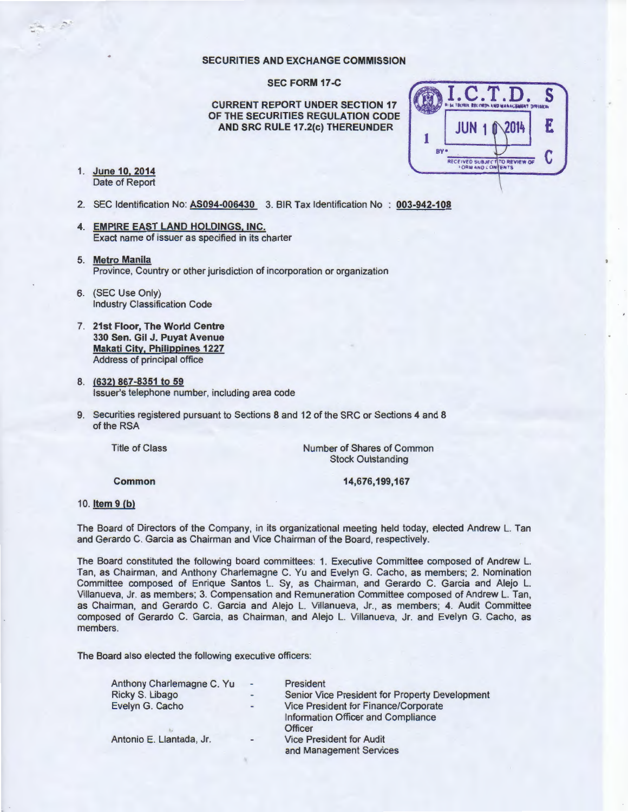#### **SECURITIES AND EXCHANGE COMMISSION**

**SEC FORM 17 -C** 

**CURRENT REPORT UNDER SECTION 17 OF THE SECURITIES REGULATION CODE AND SRC RULE 17.2(c) THEREUNDER** 

1. **June 10. 2014 Date 10, 2014**<br>Date of Report 'n Britains van die Britainse van die Britainse van die Britainse van die Britainse van die Bri<br>Date of Report 'n Britainse van die Britainse van die Britainse van die Britainse van die Brita



- 2. SEC Identification No: AS094-006430 3. BIR Tax Identification No : 003-942-108
- **4. EMPIRE EAST LAND HOLDINGS, INC.**  Exact name of issuer as specified in its charter
- 5. **Metro Manila**  Province, Country or other jurisdiction of incorporation or organization
- 6. (SEC Use Only) Industry Classification Code
- 7. **21st Floor, The World Centre 330 Sen. Gil J. Puyat Avenue Makati City, Philippines 1227**  Address of principal office
- 8. **(632) 867-8351 to 59**  Issuer's telephone number, including area code
- 9. Securities registered pursuant to Sections 8 and 12 of the SRC or Sections 4 and 8 of the RSA

Title of Class

Number of Shares of Common Stock Outstanding

**Common** 

**14,676,199,167** 

#### 10. **Item 9 (b)**

The Board of Directors of the Company, in its organizational meeting held today, elected Andrew L. Tan and Gerardo C. Garcia as Chairman and Vice Chairman of the Board, respectively.

The Board constituted the following board committees: 1. Executive Committee composed of Andrew L. Tan, as Chairman, and Anthony Charlemagne C. Yu and Evelyn G. Cacho, as members; 2. Nomination Committee composed of Enrique Santos L. Sy, as Chairman, and Gerardo C. Garcia and Alejo L. Villanueva, Jr. as members; 3. Compensation and Remuneration Committee composed of Andrew L. Tan, as Chairman, and Gerardo C. Garcia and Alejo L. Villanueva, Jr., as members; 4. Audit Committee composed of Gerardo C. Garcia, as Chairman, and Alejo L. Villanueva, Jr. and Evelyn G. Cacho, as members.

The Board also elected the following executive officers:

| Anthony Charlemagne C. Yu | ٠   | President                                                                  |
|---------------------------|-----|----------------------------------------------------------------------------|
| Ricky S. Libago           | -   | Senior Vice President for Property Development                             |
| Evelyn G. Cacho           | ۰   | Vice President for Finance/Corporate<br>Information Officer and Compliance |
| Antonio E. Llantada, Jr.  | $-$ | <b>Officer</b><br><b>Vice President for Audit</b>                          |
|                           |     | and Management Services                                                    |